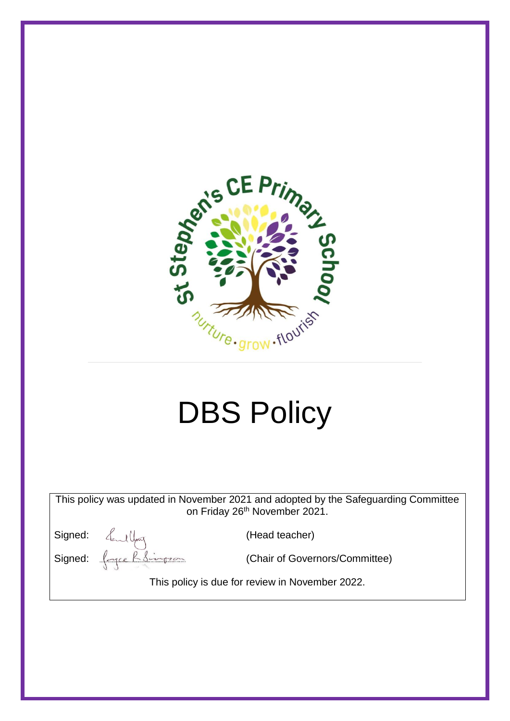

# DBS Policy

This policy was updated in November 2021 and adopted by the Safeguarding Committee on Friday 26<sup>th</sup> November 2021.

Signed:  $\text{d}_{\text{mod}}$ (Head teacher)

Signed:  $\int_{\text{cycle}} \frac{\beta}{\beta} \frac{1}{\beta}$  (Chair of Governors/Committee)

This policy is due for review in November 2022.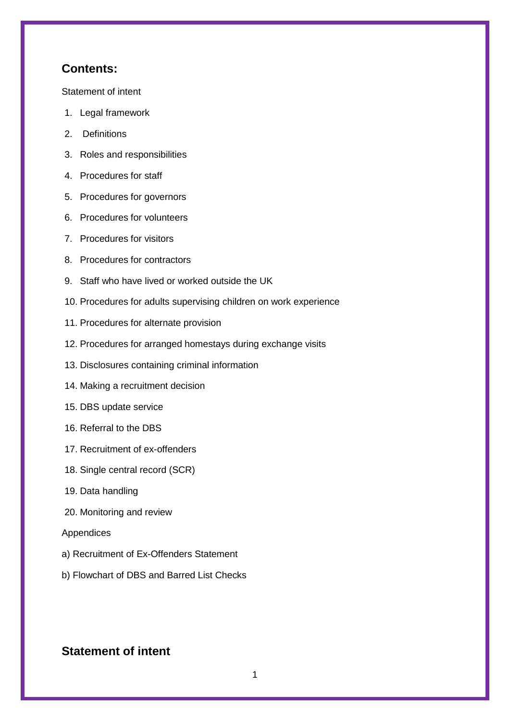#### **Contents:**

[Statement of intent](#page-1-0)

- 1. [Legal framework](#page-16-0)
- 2. [Definitions](#page-16-0)
- 3. [Roles and responsibilities](#page-16-0)
- 4. [Procedures for staff](#page-16-0)
- 5. [Procedures for governors](#page-16-0)
- 6. [Procedures for volunteers](#page-16-0)
- 7. [Procedures for visitors](#page-16-0)
- 8. [Procedures for contractors](#page-16-0)
- 9. [Staff who have lived or worked outside the UK](#page-16-0)
- 10. [Procedures for adults supervising children on work experience](#page-16-0)
- 11. [Procedures for alternate provision](#page-16-0)
- 12. [Procedures for arranged homestays during exchange visits](#page-10-0)
- 13. [Disclosures containing criminal information](#page-16-0)
- 14. [Making a recruitment decision](#page-11-0)
- 15. [DBS update service](#page-16-0)
- 16. [Referral to the DBS](#page-16-0)
- 17. [Recruitment of ex-offenders](#page-16-0)
- 18. [Single central record \(SCR\)](#page-16-0)
- 19. [Data handling](#page-16-0)
- 20. [Monitoring and review](#page-16-0)

#### Appendices

- a) [Recruitment of Ex-Offenders Statement](#page-14-0)
- b) Flowchart of DBS and Barred List Checks

## <span id="page-1-0"></span>**Statement of intent**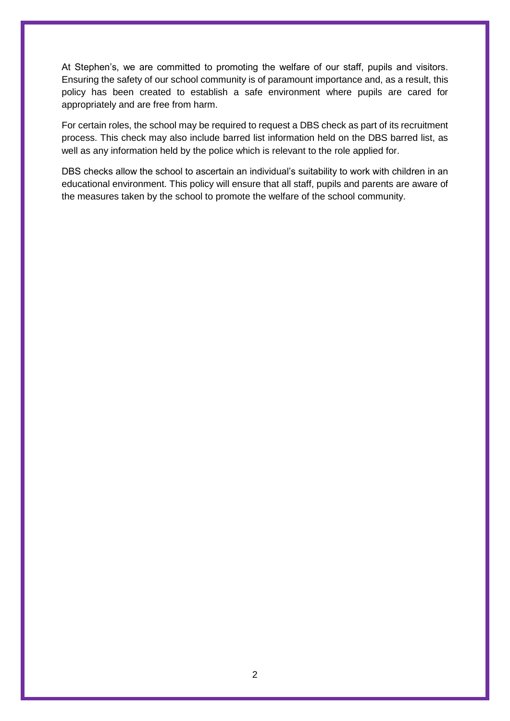At Stephen's, we are committed to promoting the welfare of our staff, pupils and visitors. Ensuring the safety of our school community is of paramount importance and, as a result, this policy has been created to establish a safe environment where pupils are cared for appropriately and are free from harm.

For certain roles, the school may be required to request a DBS check as part of its recruitment process. This check may also include barred list information held on the DBS barred list, as well as any information held by the police which is relevant to the role applied for.

DBS checks allow the school to ascertain an individual's suitability to work with children in an educational environment. This policy will ensure that all staff, pupils and parents are aware of the measures taken by the school to promote the welfare of the school community.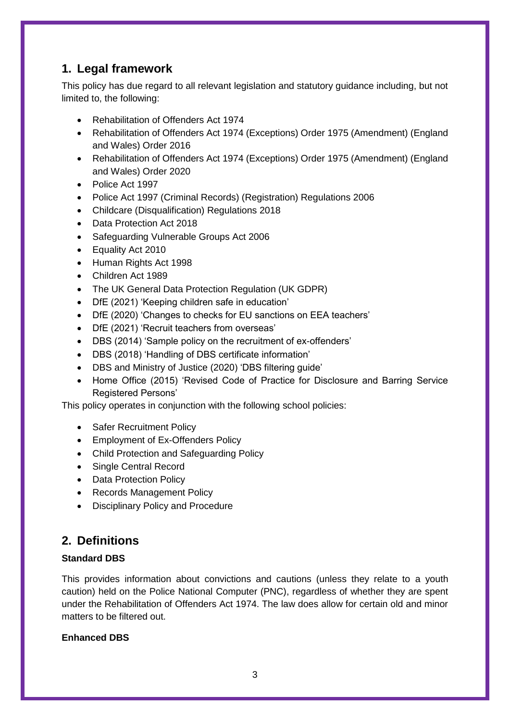# **1. Legal framework**

This policy has due regard to all relevant legislation and statutory guidance including, but not limited to, the following:

- Rehabilitation of Offenders Act 1974
- Rehabilitation of Offenders Act 1974 (Exceptions) Order 1975 (Amendment) (England and Wales) Order 2016
- Rehabilitation of Offenders Act 1974 (Exceptions) Order 1975 (Amendment) (England and Wales) Order 2020
- Police Act 1997
- Police Act 1997 (Criminal Records) (Registration) Regulations 2006
- Childcare (Disqualification) Regulations 2018
- Data Protection Act 2018
- Safeguarding Vulnerable Groups Act 2006
- Equality Act 2010
- Human Rights Act 1998
- Children Act 1989
- The UK General Data Protection Regulation (UK GDPR)
- DfE (2021) 'Keeping children safe in education'
- DfE (2020) 'Changes to checks for EU sanctions on EEA teachers'
- DfE (2021) 'Recruit teachers from overseas'
- DBS (2014) 'Sample policy on the recruitment of ex-offenders'
- DBS (2018) 'Handling of DBS certificate information'
- DBS and Ministry of Justice (2020) 'DBS filtering guide'
- Home Office (2015) 'Revised Code of Practice for Disclosure and Barring Service Registered Persons'

This policy operates in conjunction with the following school policies:

- Safer Recruitment Policy
- Employment of Ex-Offenders Policy
- Child Protection and Safeguarding Policy
- Single Central Record
- Data Protection Policy
- Records Management Policy
- Disciplinary Policy and Procedure

# **2. Definitions**

#### **Standard DBS**

This provides information about convictions and cautions (unless they relate to a youth caution) held on the Police National Computer (PNC), regardless of whether they are spent under the Rehabilitation of Offenders Act 1974. The law does allow for certain old and minor matters to be filtered out.

#### **Enhanced DBS**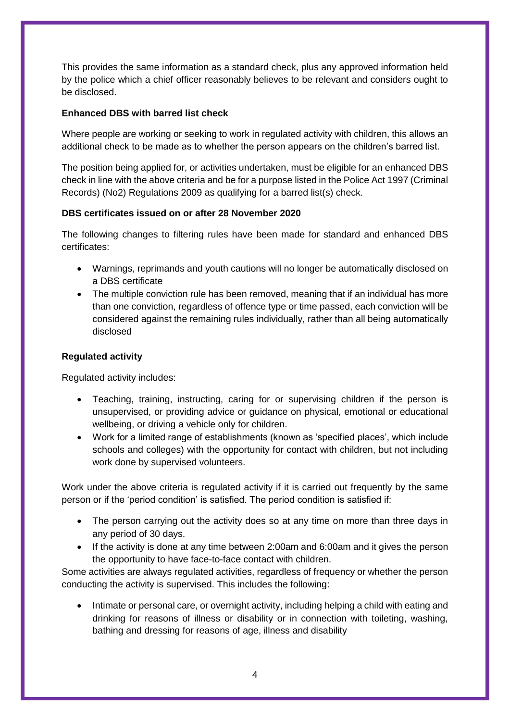This provides the same information as a standard check, plus any approved information held by the police which a chief officer reasonably believes to be relevant and considers ought to be disclosed.

#### **Enhanced DBS with barred list check**

Where people are working or seeking to work in regulated activity with children, this allows an additional check to be made as to whether the person appears on the children's barred list.

The position being applied for, or activities undertaken, must be eligible for an enhanced DBS check in line with the above criteria and be for a purpose listed in the Police Act 1997 (Criminal Records) (No2) Regulations 2009 as qualifying for a barred list(s) check.

#### **DBS certificates issued on or after 28 November 2020**

The following changes to filtering rules have been made for standard and enhanced DBS certificates:

- Warnings, reprimands and youth cautions will no longer be automatically disclosed on a DBS certificate
- The multiple conviction rule has been removed, meaning that if an individual has more than one conviction, regardless of offence type or time passed, each conviction will be considered against the remaining rules individually, rather than all being automatically disclosed

#### **Regulated activity**

Regulated activity includes:

- Teaching, training, instructing, caring for or supervising children if the person is unsupervised, or providing advice or guidance on physical, emotional or educational wellbeing, or driving a vehicle only for children.
- Work for a limited range of establishments (known as 'specified places', which include schools and colleges) with the opportunity for contact with children, but not including work done by supervised volunteers.

Work under the above criteria is regulated activity if it is carried out frequently by the same person or if the 'period condition' is satisfied. The period condition is satisfied if:

- The person carrying out the activity does so at any time on more than three days in any period of 30 days.
- If the activity is done at any time between 2:00am and 6:00am and it gives the person the opportunity to have face-to-face contact with children.

Some activities are always regulated activities, regardless of frequency or whether the person conducting the activity is supervised. This includes the following:

 Intimate or personal care, or overnight activity, including helping a child with eating and drinking for reasons of illness or disability or in connection with toileting, washing, bathing and dressing for reasons of age, illness and disability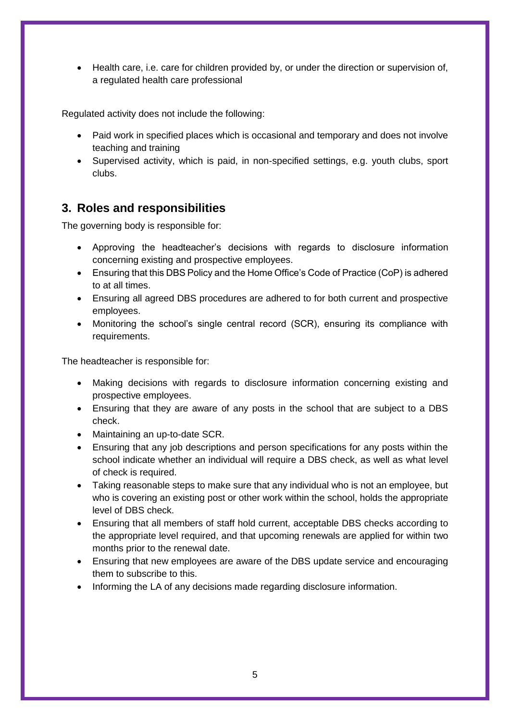Health care, i.e. care for children provided by, or under the direction or supervision of, a regulated health care professional

Regulated activity does not include the following:

- Paid work in specified places which is occasional and temporary and does not involve teaching and training
- Supervised activity, which is paid, in non-specified settings, e.g. youth clubs, sport clubs.

# **3. Roles and responsibilities**

The governing body is responsible for:

- Approving the headteacher's decisions with regards to disclosure information concerning existing and prospective employees.
- Ensuring that this DBS Policy and the Home Office's Code of Practice (CoP) is adhered to at all times.
- Ensuring all agreed DBS procedures are adhered to for both current and prospective employees.
- Monitoring the school's single central record (SCR), ensuring its compliance with requirements.

The headteacher is responsible for:

- Making decisions with regards to disclosure information concerning existing and prospective employees.
- Ensuring that they are aware of any posts in the school that are subject to a DBS check.
- Maintaining an up-to-date SCR.
- Ensuring that any job descriptions and person specifications for any posts within the school indicate whether an individual will require a DBS check, as well as what level of check is required.
- Taking reasonable steps to make sure that any individual who is not an employee, but who is covering an existing post or other work within the school, holds the appropriate level of DBS check.
- Ensuring that all members of staff hold current, acceptable DBS checks according to the appropriate level required, and that upcoming renewals are applied for within two months prior to the renewal date.
- Ensuring that new employees are aware of the DBS update service and encouraging them to subscribe to this.
- Informing the LA of any decisions made regarding disclosure information.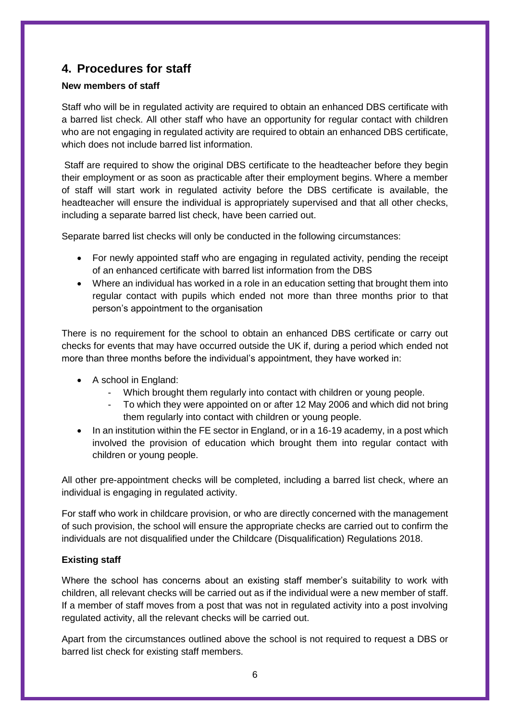# **4. Procedures for staff**

#### **New members of staff**

Staff who will be in regulated activity are required to obtain an enhanced DBS certificate with a barred list check. All other staff who have an opportunity for regular contact with children who are not engaging in regulated activity are required to obtain an enhanced DBS certificate, which does not include barred list information.

Staff are required to show the original DBS certificate to the headteacher before they begin their employment or as soon as practicable after their employment begins. Where a member of staff will start work in regulated activity before the DBS certificate is available, the headteacher will ensure the individual is appropriately supervised and that all other checks, including a separate barred list check, have been carried out.

Separate barred list checks will only be conducted in the following circumstances:

- For newly appointed staff who are engaging in regulated activity, pending the receipt of an enhanced certificate with barred list information from the DBS
- Where an individual has worked in a role in an education setting that brought them into regular contact with pupils which ended not more than three months prior to that person's appointment to the organisation

There is no requirement for the school to obtain an enhanced DBS certificate or carry out checks for events that may have occurred outside the UK if, during a period which ended not more than three months before the individual's appointment, they have worked in:

- A school in England:
	- Which brought them regularly into contact with children or young people.
	- To which they were appointed on or after 12 May 2006 and which did not bring them regularly into contact with children or young people.
- In an institution within the FE sector in England, or in a 16-19 academy, in a post which involved the provision of education which brought them into regular contact with children or young people.

All other pre-appointment checks will be completed, including a barred list check, where an individual is engaging in regulated activity.

For staff who work in childcare provision, or who are directly concerned with the management of such provision, the school will ensure the appropriate checks are carried out to confirm the individuals are not disqualified under the Childcare (Disqualification) Regulations 2018.

#### **Existing staff**

Where the school has concerns about an existing staff member's suitability to work with children, all relevant checks will be carried out as if the individual were a new member of staff. If a member of staff moves from a post that was not in regulated activity into a post involving regulated activity, all the relevant checks will be carried out.

Apart from the circumstances outlined above the school is not required to request a DBS or barred list check for existing staff members.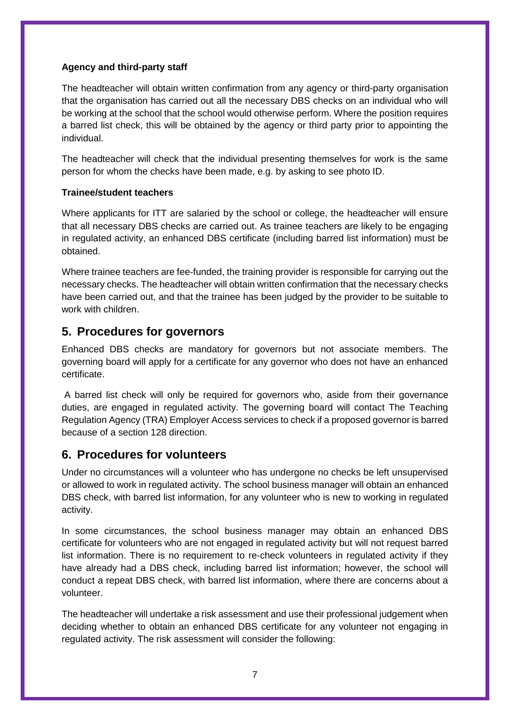#### **Agency and third-party staff**

The headteacher will obtain written confirmation from any agency or third-party organisation that the organisation has carried out all the necessary DBS checks on an individual who will be working at the school that the school would otherwise perform. Where the position requires a barred list check, this will be obtained by the agency or third party prior to appointing the individual.

The headteacher will check that the individual presenting themselves for work is the same person for whom the checks have been made, e.g. by asking to see photo ID.

#### **Trainee/student teachers**

Where applicants for ITT are salaried by the school or college, the headteacher will ensure that all necessary DBS checks are carried out. As trainee teachers are likely to be engaging in regulated activity, an enhanced DBS certificate (including barred list information) must be obtained.

Where trainee teachers are fee-funded, the training provider is responsible for carrying out the necessary checks. The headteacher will obtain written confirmation that the necessary checks have been carried out, and that the trainee has been judged by the provider to be suitable to work with children.

## **5. Procedures for governors**

Enhanced DBS checks are mandatory for governors but not associate members. The governing board will apply for a certificate for any governor who does not have an enhanced certificate.

A barred list check will only be required for governors who, aside from their governance duties, are engaged in regulated activity. The governing board will contact The Teaching Regulation Agency (TRA) Employer Access services to check if a proposed governor is barred because of a section 128 direction.

## **6. Procedures for volunteers**

Under no circumstances will a volunteer who has undergone no checks be left unsupervised or allowed to work in regulated activity. The school business manager will obtain an enhanced DBS check, with barred list information, for any volunteer who is new to working in regulated activity.

In some circumstances, the school business manager may obtain an enhanced DBS certificate for volunteers who are not engaged in regulated activity but will not request barred list information. There is no requirement to re-check volunteers in regulated activity if they have already had a DBS check, including barred list information; however, the school will conduct a repeat DBS check, with barred list information, where there are concerns about a volunteer.

The headteacher will undertake a risk assessment and use their professional judgement when deciding whether to obtain an enhanced DBS certificate for any volunteer not engaging in regulated activity. The risk assessment will consider the following: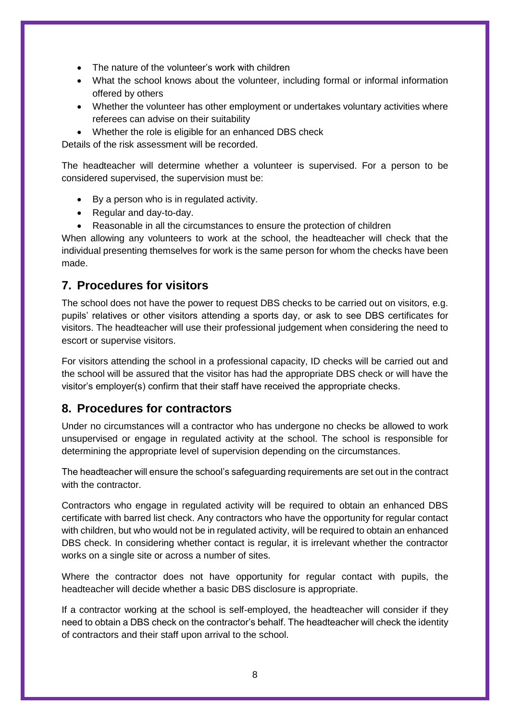- The nature of the volunteer's work with children
- What the school knows about the volunteer, including formal or informal information offered by others
- Whether the volunteer has other employment or undertakes voluntary activities where referees can advise on their suitability
- Whether the role is eligible for an enhanced DBS check

Details of the risk assessment will be recorded.

The headteacher will determine whether a volunteer is supervised. For a person to be considered supervised, the supervision must be:

- By a person who is in regulated activity.
- Regular and day-to-day.
- Reasonable in all the circumstances to ensure the protection of children

When allowing any volunteers to work at the school, the headteacher will check that the individual presenting themselves for work is the same person for whom the checks have been made.

## **7. Procedures for visitors**

The school does not have the power to request DBS checks to be carried out on visitors, e.g. pupils' relatives or other visitors attending a sports day, or ask to see DBS certificates for visitors. The headteacher will use their professional judgement when considering the need to escort or supervise visitors.

For visitors attending the school in a professional capacity, ID checks will be carried out and the school will be assured that the visitor has had the appropriate DBS check or will have the visitor's employer(s) confirm that their staff have received the appropriate checks.

## **8. Procedures for contractors**

Under no circumstances will a contractor who has undergone no checks be allowed to work unsupervised or engage in regulated activity at the school. The school is responsible for determining the appropriate level of supervision depending on the circumstances.

The headteacher will ensure the school's safeguarding requirements are set out in the contract with the contractor.

Contractors who engage in regulated activity will be required to obtain an enhanced DBS certificate with barred list check. Any contractors who have the opportunity for regular contact with children, but who would not be in regulated activity, will be required to obtain an enhanced DBS check. In considering whether contact is regular, it is irrelevant whether the contractor works on a single site or across a number of sites.

Where the contractor does not have opportunity for regular contact with pupils, the headteacher will decide whether a basic DBS disclosure is appropriate.

If a contractor working at the school is self-employed, the headteacher will consider if they need to obtain a DBS check on the contractor's behalf. The headteacher will check the identity of contractors and their staff upon arrival to the school.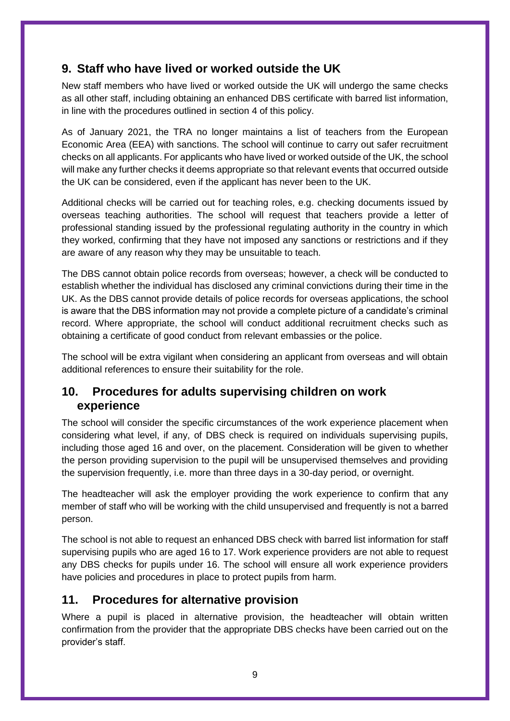# **9. Staff who have lived or worked outside the UK**

New staff members who have lived or worked outside the UK will undergo the same checks as all other staff, including obtaining an enhanced DBS certificate with barred list information, in line with the procedures outlined in [section 4](#page-16-0) of this policy.

As of January 2021, the TRA no longer maintains a list of teachers from the European Economic Area (EEA) with sanctions. The school will continue to carry out safer recruitment checks on all applicants. For applicants who have lived or worked outside of the UK, the school will make any further checks it deems appropriate so that relevant events that occurred outside the UK can be considered, even if the applicant has never been to the UK.

Additional checks will be carried out for teaching roles, e.g. checking documents issued by overseas teaching authorities. The school will request that teachers provide a letter of professional standing issued by the professional regulating authority in the country in which they worked, confirming that they have not imposed any sanctions or restrictions and if they are aware of any reason why they may be unsuitable to teach.

The DBS cannot obtain police records from overseas; however, a check will be conducted to establish whether the individual has disclosed any criminal convictions during their time in the UK. As the DBS cannot provide details of police records for overseas applications, the school is aware that the DBS information may not provide a complete picture of a candidate's criminal record. Where appropriate, the school will conduct additional recruitment checks such as obtaining a certificate of good conduct from relevant embassies or the police.

The school will be extra vigilant when considering an applicant from overseas and will obtain additional references to ensure their suitability for the role.

## **10. Procedures for adults supervising children on work experience**

The school will consider the specific circumstances of the work experience placement when considering what level, if any, of DBS check is required on individuals supervising pupils, including those aged 16 and over, on the placement. Consideration will be given to whether the person providing supervision to the pupil will be unsupervised themselves and providing the supervision frequently, i.e. more than three days in a 30-day period, or overnight.

The headteacher will ask the employer providing the work experience to confirm that any member of staff who will be working with the child unsupervised and frequently is not a barred person.

The school is not able to request an enhanced DBS check with barred list information for staff supervising pupils who are aged 16 to 17. Work experience providers are not able to request any DBS checks for pupils under 16. The school will ensure all work experience providers have policies and procedures in place to protect pupils from harm.

## **11. Procedures for alternative provision**

Where a pupil is placed in alternative provision, the headteacher will obtain written confirmation from the provider that the appropriate DBS checks have been carried out on the provider's staff.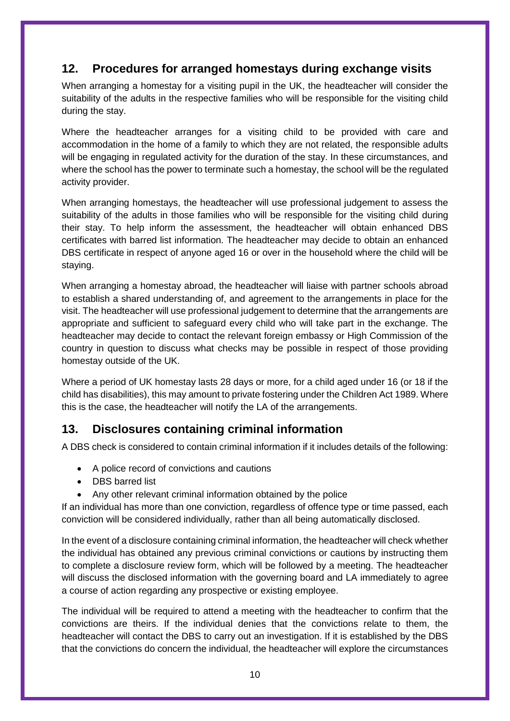# <span id="page-10-0"></span>**12. Procedures for arranged homestays during exchange visits**

When arranging a homestay for a visiting pupil in the UK, the headteacher will consider the suitability of the adults in the respective families who will be responsible for the visiting child during the stay.

Where the headteacher arranges for a visiting child to be provided with care and accommodation in the home of a family to which they are not related, the responsible adults will be engaging in regulated activity for the duration of the stay. In these circumstances, and where the school has the power to terminate such a homestay, the school will be the regulated activity provider.

When arranging homestays, the headteacher will use professional judgement to assess the suitability of the adults in those families who will be responsible for the visiting child during their stay. To help inform the assessment, the headteacher will obtain enhanced DBS certificates with barred list information. The headteacher may decide to obtain an enhanced DBS certificate in respect of anyone aged 16 or over in the household where the child will be staying.

When arranging a homestay abroad, the headteacher will liaise with partner schools abroad to establish a shared understanding of, and agreement to the arrangements in place for the visit. The headteacher will use professional judgement to determine that the arrangements are appropriate and sufficient to safeguard every child who will take part in the exchange. The headteacher may decide to contact the relevant foreign embassy or High Commission of the country in question to discuss what checks may be possible in respect of those providing homestay outside of the UK.

Where a period of UK homestay lasts 28 days or more, for a child aged under 16 (or 18 if the child has disabilities), this may amount to private fostering under the Children Act 1989. Where this is the case, the headteacher will notify the LA of the arrangements.

# **13. Disclosures containing criminal information**

A DBS check is considered to contain criminal information if it includes details of the following:

- A police record of convictions and cautions
- DBS barred list
- Any other relevant criminal information obtained by the police

If an individual has more than one conviction, regardless of offence type or time passed, each conviction will be considered individually, rather than all being automatically disclosed.

In the event of a disclosure containing criminal information, the headteacher will check whether the individual has obtained any previous criminal convictions or cautions by instructing them to complete a disclosure review form, which will be followed by a meeting. The headteacher will discuss the disclosed information with the governing board and LA immediately to agree a course of action regarding any prospective or existing employee.

The individual will be required to attend a meeting with the headteacher to confirm that the convictions are theirs. If the individual denies that the convictions relate to them, the headteacher will contact the DBS to carry out an investigation. If it is established by the DBS that the convictions do concern the individual, the headteacher will explore the circumstances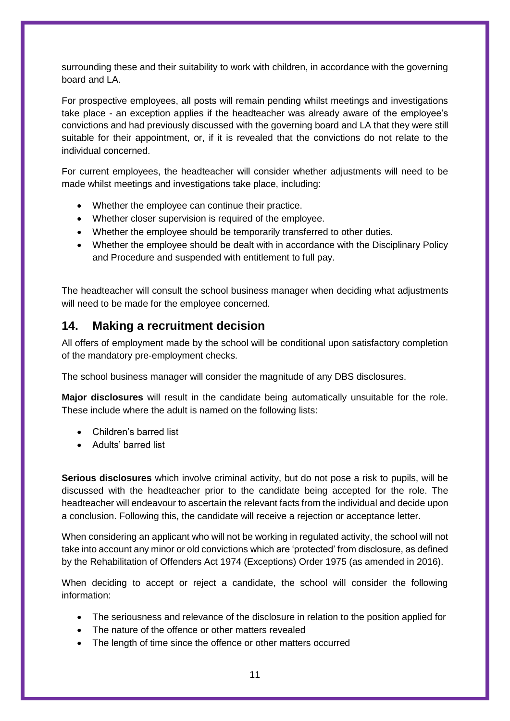surrounding these and their suitability to work with children, in accordance with the governing board and LA.

For prospective employees, all posts will remain pending whilst meetings and investigations take place - an exception applies if the headteacher was already aware of the employee's convictions and had previously discussed with the governing board and LA that they were still suitable for their appointment, or, if it is revealed that the convictions do not relate to the individual concerned.

For current employees, the headteacher will consider whether adjustments will need to be made whilst meetings and investigations take place, including:

- Whether the employee can continue their practice.
- Whether closer supervision is required of the employee.
- Whether the employee should be temporarily transferred to other duties.
- Whether the employee should be dealt with in accordance with the Disciplinary Policy and Procedure and suspended with entitlement to full pay.

The headteacher will consult the school business manager when deciding what adjustments will need to be made for the employee concerned.

## <span id="page-11-0"></span>**14. Making a recruitment decision**

All offers of employment made by the school will be conditional upon satisfactory completion of the mandatory pre-employment checks.

The school business manager will consider the magnitude of any DBS disclosures.

**Major disclosures** will result in the candidate being automatically unsuitable for the role. These include where the adult is named on the following lists:

- Children's barred list
- Adults' barred list

**Serious disclosures** which involve criminal activity, but do not pose a risk to pupils, will be discussed with the headteacher prior to the candidate being accepted for the role. The headteacher will endeavour to ascertain the relevant facts from the individual and decide upon a conclusion. Following this, the candidate will receive a rejection or acceptance letter.

When considering an applicant who will not be working in regulated activity, the school will not take into account any minor or old convictions which are 'protected' from disclosure, as defined by the Rehabilitation of Offenders Act 1974 (Exceptions) Order 1975 (as amended in 2016).

When deciding to accept or reject a candidate, the school will consider the following information:

- The seriousness and relevance of the disclosure in relation to the position applied for
- The nature of the offence or other matters revealed
- The length of time since the offence or other matters occurred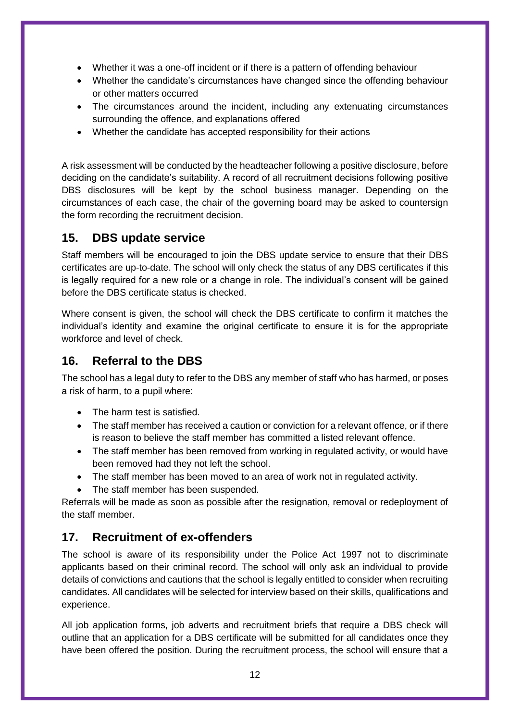- Whether it was a one-off incident or if there is a pattern of offending behaviour
- Whether the candidate's circumstances have changed since the offending behaviour or other matters occurred
- The circumstances around the incident, including any extenuating circumstances surrounding the offence, and explanations offered
- Whether the candidate has accepted responsibility for their actions

A risk assessment will be conducted by the headteacher following a positive disclosure, before deciding on the candidate's suitability. A record of all recruitment decisions following positive DBS disclosures will be kept by the school business manager. Depending on the circumstances of each case, the chair of the governing board may be asked to countersign the form recording the recruitment decision.

## **15. DBS update service**

Staff members will be encouraged to join the DBS update service to ensure that their DBS certificates are up-to-date. The school will only check the status of any DBS certificates if this is legally required for a new role or a change in role. The individual's consent will be gained before the DBS certificate status is checked.

Where consent is given, the school will check the DBS certificate to confirm it matches the individual's identity and examine the original certificate to ensure it is for the appropriate workforce and level of check.

# **16. Referral to the DBS**

The school has a legal duty to refer to the DBS any member of staff who has harmed, or poses a risk of harm, to a pupil where:

- The harm test is satisfied.
- The staff member has received a caution or conviction for a relevant offence, or if there is reason to believe the staff member has committed a listed relevant offence.
- The staff member has been removed from working in regulated activity, or would have been removed had they not left the school.
- The staff member has been moved to an area of work not in regulated activity.
- The staff member has been suspended.

Referrals will be made as soon as possible after the resignation, removal or redeployment of the staff member.

# **17. Recruitment of ex-offenders**

The school is aware of its responsibility under the Police Act 1997 not to discriminate applicants based on their criminal record. The school will only ask an individual to provide details of convictions and cautions that the school is legally entitled to consider when recruiting candidates. All candidates will be selected for interview based on their skills, qualifications and experience.

All job application forms, job adverts and recruitment briefs that require a DBS check will outline that an application for a DBS certificate will be submitted for all candidates once they have been offered the position. During the recruitment process, the school will ensure that a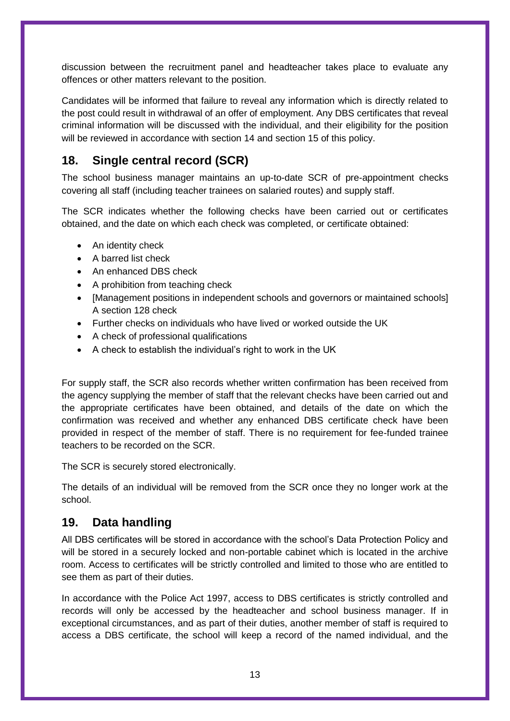discussion between the recruitment panel and headteacher takes place to evaluate any offences or other matters relevant to the position.

Candidates will be informed that failure to reveal any information which is directly related to the post could result in withdrawal of an offer of employment. Any DBS certificates that reveal criminal information will be discussed with the individual, and their eligibility for the position will be reviewed in accordance with [section 14](#page-16-0) and [section 15](#page-11-0) of this policy.

# **18. Single central record (SCR)**

The school business manager maintains an up-to-date SCR of pre-appointment checks covering all staff (including teacher trainees on salaried routes) and supply staff.

The SCR indicates whether the following checks have been carried out or certificates obtained, and the date on which each check was completed, or certificate obtained:

- An identity check
- A barred list check
- An enhanced DBS check
- A prohibition from teaching check
- [Management positions in independent schools and governors or maintained schools] A section 128 check
- Further checks on individuals who have lived or worked outside the UK
- A check of professional qualifications
- A check to establish the individual's right to work in the UK

For supply staff, the SCR also records whether written confirmation has been received from the agency supplying the member of staff that the relevant checks have been carried out and the appropriate certificates have been obtained, and details of the date on which the confirmation was received and whether any enhanced DBS certificate check have been provided in respect of the member of staff. There is no requirement for fee-funded trainee teachers to be recorded on the SCR.

The SCR is securely stored electronically.

The details of an individual will be removed from the SCR once they no longer work at the school.

# **19. Data handling**

All DBS certificates will be stored in accordance with the school's Data Protection Policy and will be stored in a securely locked and non-portable cabinet which is located in the archive room. Access to certificates will be strictly controlled and limited to those who are entitled to see them as part of their duties.

In accordance with the Police Act 1997, access to DBS certificates is strictly controlled and records will only be accessed by the headteacher and school business manager. If in exceptional circumstances, and as part of their duties, another member of staff is required to access a DBS certificate, the school will keep a record of the named individual, and the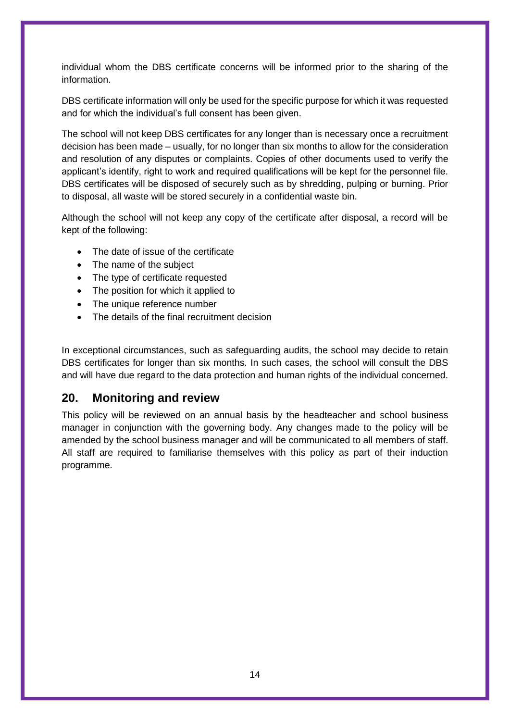individual whom the DBS certificate concerns will be informed prior to the sharing of the information.

DBS certificate information will only be used for the specific purpose for which it was requested and for which the individual's full consent has been given.

The school will not keep DBS certificates for any longer than is necessary once a recruitment decision has been made – usually, for no longer than six months to allow for the consideration and resolution of any disputes or complaints. Copies of other documents used to verify the applicant's identify, right to work and required qualifications will be kept for the personnel file. DBS certificates will be disposed of securely such as by shredding, pulping or burning. Prior to disposal, all waste will be stored securely in a confidential waste bin.

Although the school will not keep any copy of the certificate after disposal, a record will be kept of the following:

- The date of issue of the certificate
- The name of the subject
- The type of certificate requested
- The position for which it applied to
- The unique reference number
- The details of the final recruitment decision

In exceptional circumstances, such as safeguarding audits, the school may decide to retain DBS certificates for longer than six months. In such cases, the school will consult the DBS and will have due regard to the data protection and human rights of the individual concerned.

#### **20. Monitoring and review**

<span id="page-14-0"></span>This policy will be reviewed on an annual basis by the headteacher and school business manager in conjunction with the governing body. Any changes made to the policy will be amended by the school business manager and will be communicated to all members of staff. All staff are required to familiarise themselves with this policy as part of their induction programme.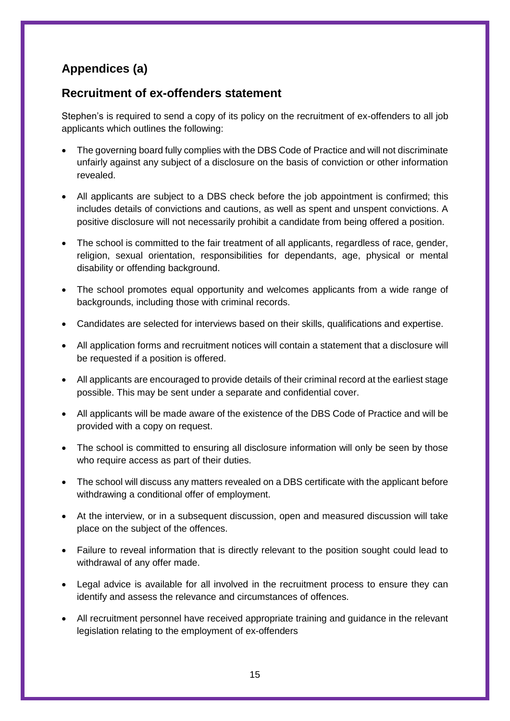# **Appendices (a)**

## **Recruitment of ex-offenders statement**

Stephen's is required to send a copy of its policy on the recruitment of ex-offenders to all job applicants which outlines the following:

- The governing board fully complies with the DBS Code of Practice and will not discriminate unfairly against any subject of a disclosure on the basis of conviction or other information revealed.
- All applicants are subject to a DBS check before the job appointment is confirmed; this includes details of convictions and cautions, as well as spent and unspent convictions. A positive disclosure will not necessarily prohibit a candidate from being offered a position.
- The school is committed to the fair treatment of all applicants, regardless of race, gender, religion, sexual orientation, responsibilities for dependants, age, physical or mental disability or offending background.
- The school promotes equal opportunity and welcomes applicants from a wide range of backgrounds, including those with criminal records.
- Candidates are selected for interviews based on their skills, qualifications and expertise.
- All application forms and recruitment notices will contain a statement that a disclosure will be requested if a position is offered.
- All applicants are encouraged to provide details of their criminal record at the earliest stage possible. This may be sent under a separate and confidential cover.
- All applicants will be made aware of the existence of the DBS Code of Practice and will be provided with a copy on request.
- The school is committed to ensuring all disclosure information will only be seen by those who require access as part of their duties.
- The school will discuss any matters revealed on a DBS certificate with the applicant before withdrawing a conditional offer of employment.
- At the interview, or in a subsequent discussion, open and measured discussion will take place on the subject of the offences.
- Failure to reveal information that is directly relevant to the position sought could lead to withdrawal of any offer made.
- Legal advice is available for all involved in the recruitment process to ensure they can identify and assess the relevance and circumstances of offences.
- All recruitment personnel have received appropriate training and guidance in the relevant legislation relating to the employment of ex-offenders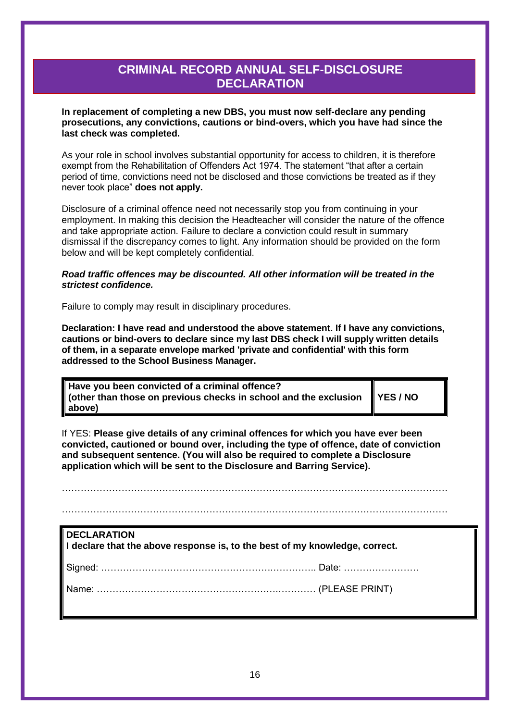# **CRIMINAL RECORD ANNUAL SELF-DISCLOSURE DECLARATION**

<span id="page-16-0"></span>**In replacement of completing a new DBS, you must now self-declare any pending prosecutions, any convictions, cautions or bind-overs, which you have had since the last check was completed.**

As your role in school involves substantial opportunity for access to children, it is therefore exempt from the Rehabilitation of Offenders Act 1974. The statement "that after a certain period of time, convictions need not be disclosed and those convictions be treated as if they never took place" **does not apply.**

Disclosure of a criminal offence need not necessarily stop you from continuing in your employment. In making this decision the Headteacher will consider the nature of the offence and take appropriate action. Failure to declare a conviction could result in summary dismissal if the discrepancy comes to light. Any information should be provided on the form below and will be kept completely confidential.

#### *Road traffic offences may be discounted. All other information will be treated in the strictest confidence.*

Failure to comply may result in disciplinary procedures.

**Declaration: I have read and understood the above statement. If I have any convictions, cautions or bind-overs to declare since my last DBS check I will supply written details of them, in a separate envelope marked 'private and confidential' with this form addressed to the School Business Manager.** 

| Have you been convicted of a criminal offence?<br>  (other than those on previous checks in school and the exclusion ■ YES / NO |  |
|---------------------------------------------------------------------------------------------------------------------------------|--|
| above)                                                                                                                          |  |

If YES: **Please give details of any criminal offences for which you have ever been convicted, cautioned or bound over, including the type of offence, date of conviction and subsequent sentence. (You will also be required to complete a Disclosure application which will be sent to the Disclosure and Barring Service).**

……………………………………………………………………………………………………………

……………………………………………………………………………………………………………

| <b>DECLARATION</b><br>$\parallel$ I declare that the above response is, to the best of my knowledge, correct. |  |  |
|---------------------------------------------------------------------------------------------------------------|--|--|
|                                                                                                               |  |  |
|                                                                                                               |  |  |
|                                                                                                               |  |  |